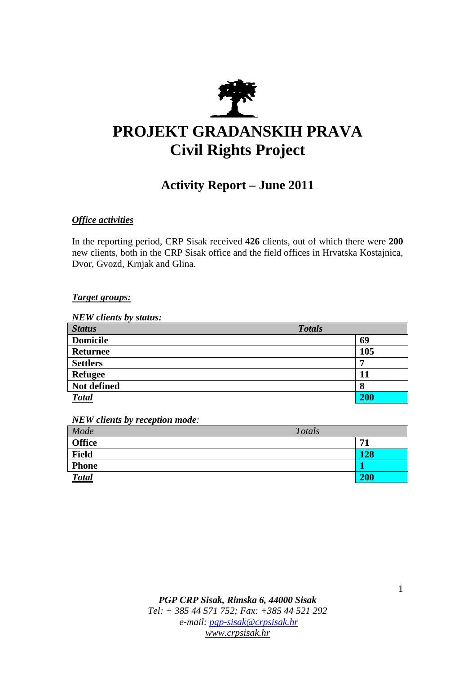

# **PROJEKT GRAĐANSKIH PRAVA Civil Rights Project**

# **Activity Report – June 2011**

# *Office activities*

In the reporting period, CRP Sisak received **426** clients, out of which there were **200**  new clients, both in the CRP Sisak office and the field offices in Hrvatska Kostajnica, Dvor, Gvozd, Krnjak and Glina.

# *Target groups:*

*NEW clients by status:* 

| <b>Status</b>   | <b>Totals</b> |
|-----------------|---------------|
| <b>Domicile</b> | 69            |
| <b>Returnee</b> | 105           |
| <b>Settlers</b> | -             |
| <b>Refugee</b>  | 11            |
| Not defined     | 8             |
| <b>Total</b>    | <b>200</b>    |

*NEW clients by reception mode:* 

| Mode          | Totals |     |
|---------------|--------|-----|
| <b>Office</b> |        | 71  |
| <b>Field</b>  |        | 128 |
| <b>Phone</b>  |        |     |
| <b>Total</b>  |        | 200 |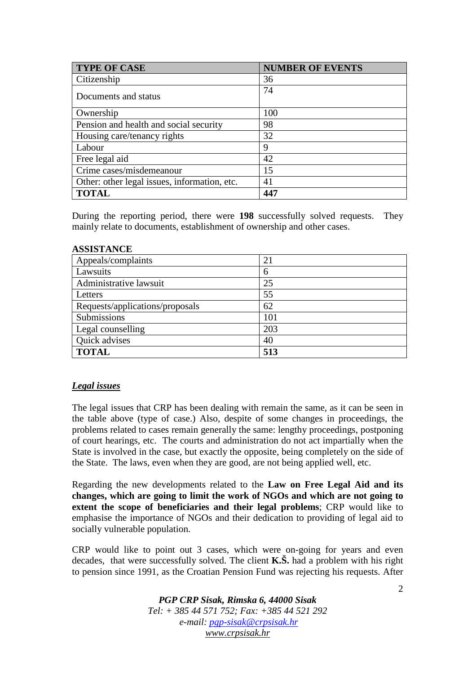| <b>TYPE OF CASE</b>                          | <b>NUMBER OF EVENTS</b> |
|----------------------------------------------|-------------------------|
| Citizenship                                  | 36                      |
| Documents and status                         | 74                      |
| Ownership                                    | 100                     |
| Pension and health and social security       | 98                      |
| Housing care/tenancy rights                  | 32                      |
| Labour                                       | 9                       |
| Free legal aid                               | 42                      |
| Crime cases/misdemeanour                     | 15                      |
| Other: other legal issues, information, etc. | 41                      |
| <b>TOTAL</b>                                 | 447                     |

During the reporting period, there were **198** successfully solved requests. They mainly relate to documents, establishment of ownership and other cases.

#### **ASSISTANCE**

| Appeals/complaints              | 21  |
|---------------------------------|-----|
| Lawsuits                        | 6   |
| Administrative lawsuit          | 25  |
| Letters                         | 55  |
| Requests/applications/proposals | 62  |
| Submissions                     | 101 |
| Legal counselling               | 203 |
| Quick advises                   | 40  |
| <b>TOTAL</b>                    | 513 |

#### *Legal issues*

The legal issues that CRP has been dealing with remain the same, as it can be seen in the table above (type of case.) Also, despite of some changes in proceedings, the problems related to cases remain generally the same: lengthy proceedings, postponing of court hearings, etc. The courts and administration do not act impartially when the State is involved in the case, but exactly the opposite, being completely on the side of the State. The laws, even when they are good, are not being applied well, etc.

Regarding the new developments related to the **Law on Free Legal Aid and its changes, which are going to limit the work of NGOs and which are not going to extent the scope of beneficiaries and their legal problems**; CRP would like to emphasise the importance of NGOs and their dedication to providing of legal aid to socially vulnerable population.

CRP would like to point out 3 cases, which were on-going for years and even decades, that were successfully solved. The client **K.Š.** had a problem with his right to pension since 1991, as the Croatian Pension Fund was rejecting his requests. After

> *PGP CRP Sisak, Rimska 6, 44000 Sisak Tel: + 385 44 571 752; Fax: +385 44 521 292 e-mail: pgp-sisak@crpsisak.hr www.crpsisak.hr*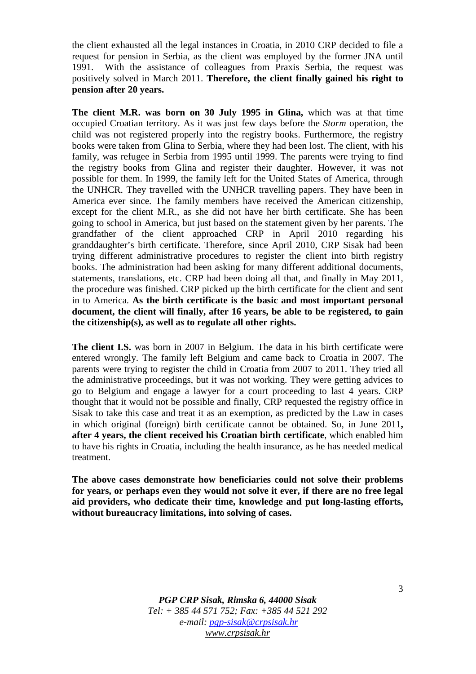the client exhausted all the legal instances in Croatia, in 2010 CRP decided to file a request for pension in Serbia, as the client was employed by the former JNA until 1991. With the assistance of colleagues from Praxis Serbia, the request was positively solved in March 2011. **Therefore, the client finally gained his right to pension after 20 years.** 

**The client M.R. was born on 30 July 1995 in Glina,** which was at that time occupied Croatian territory. As it was just few days before the *Storm* operation, the child was not registered properly into the registry books. Furthermore, the registry books were taken from Glina to Serbia, where they had been lost. The client, with his family, was refugee in Serbia from 1995 until 1999. The parents were trying to find the registry books from Glina and register their daughter. However, it was not possible for them. In 1999, the family left for the United States of America, through the UNHCR. They travelled with the UNHCR travelling papers. They have been in America ever since. The family members have received the American citizenship, except for the client M.R., as she did not have her birth certificate. She has been going to school in America, but just based on the statement given by her parents. The grandfather of the client approached CRP in April 2010 regarding his granddaughter's birth certificate. Therefore, since April 2010, CRP Sisak had been trying different administrative procedures to register the client into birth registry books. The administration had been asking for many different additional documents, statements, translations, etc. CRP had been doing all that, and finally in May 2011, the procedure was finished. CRP picked up the birth certificate for the client and sent in to America. **As the birth certificate is the basic and most important personal document, the client will finally, after 16 years, be able to be registered, to gain the citizenship(s), as well as to regulate all other rights.** 

**The client I.S.** was born in 2007 in Belgium. The data in his birth certificate were entered wrongly. The family left Belgium and came back to Croatia in 2007. The parents were trying to register the child in Croatia from 2007 to 2011. They tried all the administrative proceedings, but it was not working. They were getting advices to go to Belgium and engage a lawyer for a court proceeding to last 4 years. CRP thought that it would not be possible and finally, CRP requested the registry office in Sisak to take this case and treat it as an exemption, as predicted by the Law in cases in which original (foreign) birth certificate cannot be obtained. So, in June 2011**, after 4 years, the client received his Croatian birth certificate**, which enabled him to have his rights in Croatia, including the health insurance, as he has needed medical treatment.

**The above cases demonstrate how beneficiaries could not solve their problems for years, or perhaps even they would not solve it ever, if there are no free legal aid providers, who dedicate their time, knowledge and put long-lasting efforts, without bureaucracy limitations, into solving of cases.** 

> *PGP CRP Sisak, Rimska 6, 44000 Sisak Tel: + 385 44 571 752; Fax: +385 44 521 292 e-mail: pgp-sisak@crpsisak.hr www.crpsisak.hr*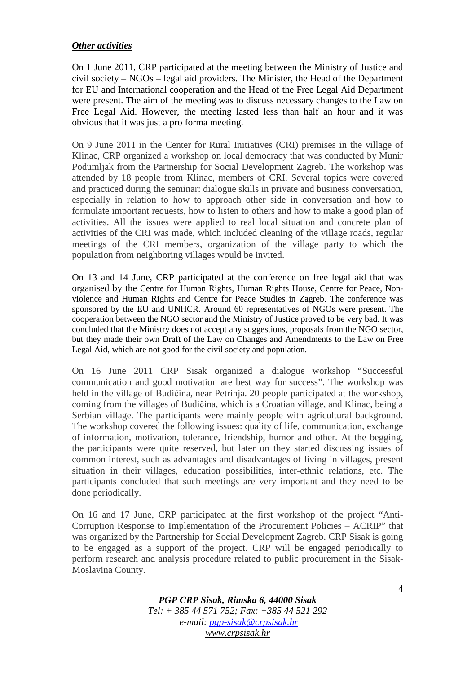### *Other activities*

On 1 June 2011, CRP participated at the meeting between the Ministry of Justice and civil society – NGOs – legal aid providers. The Minister, the Head of the Department for EU and International cooperation and the Head of the Free Legal Aid Department were present. The aim of the meeting was to discuss necessary changes to the Law on Free Legal Aid. However, the meeting lasted less than half an hour and it was obvious that it was just a pro forma meeting.

On 9 June 2011 in the Center for Rural Initiatives (CRI) premises in the village of Klinac, CRP organized a workshop on local democracy that was conducted by Munir Podumljak from the Partnership for Social Development Zagreb. The workshop was attended by 18 people from Klinac, members of CRI. Several topics were covered and practiced during the seminar: dialogue skills in private and business conversation, especially in relation to how to approach other side in conversation and how to formulate important requests, how to listen to others and how to make a good plan of activities. All the issues were applied to real local situation and concrete plan of activities of the CRI was made, which included cleaning of the village roads, regular meetings of the CRI members, organization of the village party to which the population from neighboring villages would be invited.

On 13 and 14 June, CRP participated at the conference on free legal aid that was organised by the Centre for Human Rights, Human Rights House, Centre for Peace, Nonviolence and Human Rights and Centre for Peace Studies in Zagreb. The conference was sponsored by the EU and UNHCR. Around 60 representatives of NGOs were present. The cooperation between the NGO sector and the Ministry of Justice proved to be very bad. It was concluded that the Ministry does not accept any suggestions, proposals from the NGO sector, but they made their own Draft of the Law on Changes and Amendments to the Law on Free Legal Aid, which are not good for the civil society and population.

On 16 June 2011 CRP Sisak organized a dialogue workshop "Successful communication and good motivation are best way for success". The workshop was held in the village of Budičina, near Petrinja. 20 people participated at the workshop, coming from the villages of Budičina, which is a Croatian village, and Klinac, being a Serbian village. The participants were mainly people with agricultural background. The workshop covered the following issues: quality of life, communication, exchange of information, motivation, tolerance, friendship, humor and other. At the begging, the participants were quite reserved, but later on they started discussing issues of common interest, such as advantages and disadvantages of living in villages, present situation in their villages, education possibilities, inter-ethnic relations, etc. The participants concluded that such meetings are very important and they need to be done periodically.

On 16 and 17 June, CRP participated at the first workshop of the project "Anti-Corruption Response to Implementation of the Procurement Policies – ACRIP" that was organized by the Partnership for Social Development Zagreb. CRP Sisak is going to be engaged as a support of the project. CRP will be engaged periodically to perform research and analysis procedure related to public procurement in the Sisak-Moslavina County.